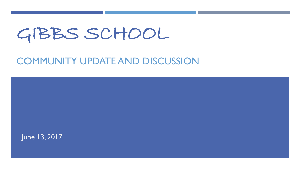# GIBBS SCHOOL

### COMMUNITY UPDATE AND DISCUSSION

June 13, 2017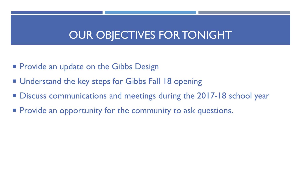## OUR OBJECTIVES FOR TONIGHT

- **Provide an update on the Gibbs Design**
- Understand the key steps for Gibbs Fall 18 opening
- Discuss communications and meetings during the 2017-18 school year
- **Provide an opportunity for the community to ask questions.**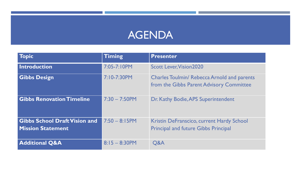## AGENDA

| <b>Topic</b>                                                     | <b>Timing</b>    | <b>Presenter</b>                                                                               |
|------------------------------------------------------------------|------------------|------------------------------------------------------------------------------------------------|
| Introduction                                                     | 7:05-7:10PM      | <b>Scott Lever, Vision 2020</b>                                                                |
| <b>Gibbs Design</b>                                              | 7:10-7:30PM      | <b>Charles Toulmin/ Rebecca Arnold and parents</b><br>from the Gibbs Parent Advisory Committee |
| <b>Gibbs Renovation Timeline</b>                                 | $7:30 - 7:50$ PM | Dr. Kathy Bodie, APS Superintendent                                                            |
| <b>Gibbs School Draft Vision and</b><br><b>Mission Statement</b> | $7:50 - 8:15$ PM | Kristin DeFranscico, current Hardy School<br><b>Principal and future Gibbs Principal</b>       |
| <b>Additional Q&amp;A</b>                                        | $8:15 - 8:30$ PM | <b>Q&amp;A</b>                                                                                 |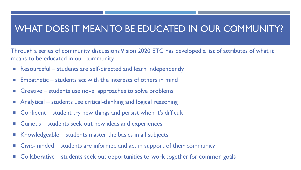#### WHAT DOES IT MEAN TO BE EDUCATED IN OUR COMMUNITY?

Through a series of community discussions Vision 2020 ETG has developed a list of attributes of what it means to be educated in our community.

- Resourceful students are self-directed and learn independently
- **Empathetic students act with the interests of others in mind**
- **E** Creative students use novel approaches to solve problems
- Analytical students use critical-thinking and logical reasoning
- Confident student try new things and persist when it's difficult
- Curious students seek out new ideas and experiences
- $\blacksquare$  Knowledgeable students master the basics in all subjects
- Civic-minded students are informed and act in support of their community
- Collaborative students seek out opportunities to work together for common goals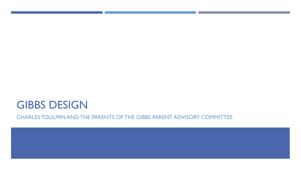## GIBBS DESIGN

CHARLES TOULMIN AND THE PARENTS OF THE GIBBS PARENT ADVISORY COMMITTEE

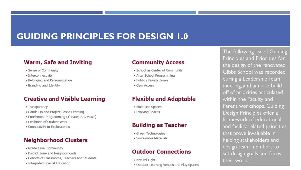### **GUIDING PRINCIPLES FOR DESIGN 1.0**

#### **Warm, Safe and Inviting**

- Sense of Community
- · Interconnectivity
- · Belonging and Personalization
- Branding and Identity

#### **Creative and Visible Learning**

- Transparency
- . Hands-On and Project-Based Learning
- · Enrichment Programming (Theater, Art, Music)
- . Exhibition of Student Work
- Connectivity to Exploratories

#### **Neighborhood Clusters**

- · Grade Level Community
- · District Zone and Neighborhoods
- · Cohorts of Classrooms, Teachers and Students
- · Integrated Special Education

#### **Community Access**

- · School as Center of Community
- After School Programming
- · Public / Private Zones
- Gym Access

#### **Flexible and Adaptable**

- · Multi-Use Spaces
- · Evolving Spaces

#### **Building as Teacher**

- · Green Technologies
- · Sustainable Materials

#### **Outdoor Connections**

- Natural Light
- . Outdoor Learning Venues and Play Spaces

The following list of Guiding Principles and Priorities for the design of the renovated Gibbs School was recorded during a Leadership Team meeting, and aims to build off of priorities articulated within the Faculty and Parent workshops. Guiding Design Principles offer a framework of educational and facility related priorities that prove invaluable in helping stakeholders and design team members to set design goals and focus their work.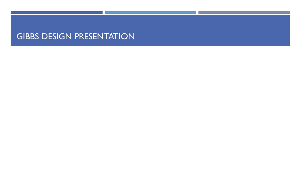#### GIBBS DESIGN PRESENTATION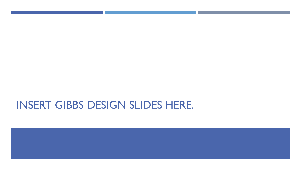## INSERT GIBBS DESIGN SLIDES HERE.

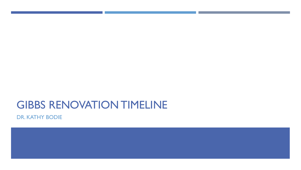## GIBBS RENOVATION TIMELINE

DR. KATHY BODIE

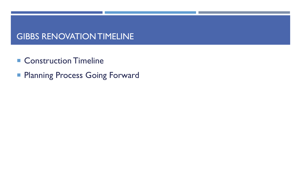#### GIBBS RENOVATION TIMELINE

- Construction Timeline
- **Planning Process Going Forward**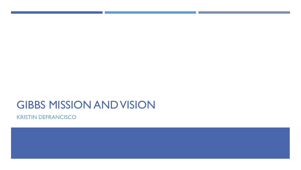## GIBBS MISSION AND VISION

KRISTIN DEFRANCISCO

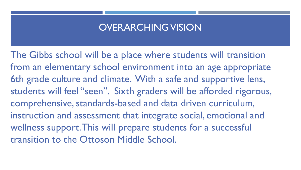#### OVERARCHING VISION

The Gibbs school will be a place where students will transition from an elementary school environment into an age appropriate 6th grade culture and climate. With a safe and supportive lens, students will feel "seen". Sixth graders will be afforded rigorous, comprehensive, standards-based and data driven curriculum, instruction and assessment that integrate social, emotional and wellness support. This will prepare students for a successful transition to the Ottoson Middle School.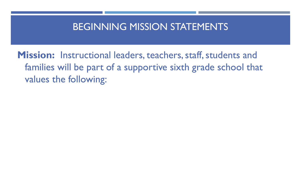### BEGINNING MISSION STATEMENTS

**Mission:** Instructional leaders, teachers, staff, students and families will be part of a supportive sixth grade school that values the following: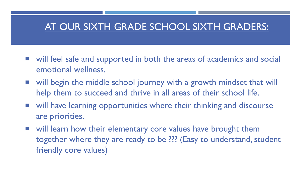### AT OUR SIXTH GRADE SCHOOL SIXTH GRADERS:

- will feel safe and supported in both the areas of academics and social emotional wellness.
- will begin the middle school journey with a growth mindset that will help them to succeed and thrive in all areas of their school life.
- will have learning opportunities where their thinking and discourse are priorities.
- will learn how their elementary core values have brought them together where they are ready to be ??? (Easy to understand, student friendly core values)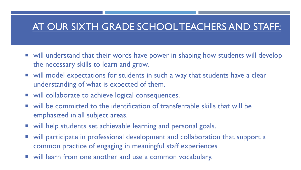### AT OUR SIXTH GRADE SCHOOL TEACHERS AND STAFF:

- will understand that their words have power in shaping how students will develop the necessary skills to learn and grow.
- will model expectations for students in such a way that students have a clear understanding of what is expected of them.
- will collaborate to achieve logical consequences.
- will be committed to the identification of transferrable skills that will be emphasized in all subject areas.
- will help students set achievable learning and personal goals.
- will participate in professional development and collaboration that support a common practice of engaging in meaningful staff experiences
- will learn from one another and use a common vocabulary.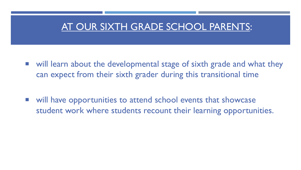### AT OUR SIXTH GRADE SCHOOL PARENTS:

- will learn about the developmental stage of sixth grade and what they can expect from their sixth grader during this transitional time
- will have opportunities to attend school events that showcase student work where students recount their learning opportunities.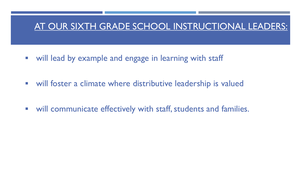#### AT OUR SIXTH GRADE SCHOOL INSTRUCTIONAL LEADERS:

- **•** will lead by example and engage in learning with staff
- will foster a climate where distributive leadership is valued
- will communicate effectively with staff, students and families.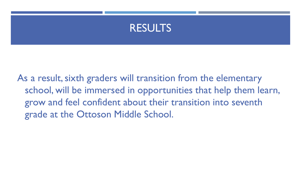

As a result, sixth graders will transition from the elementary school, will be immersed in opportunities that help them learn, grow and feel confident about their transition into seventh grade at the Ottoson Middle School.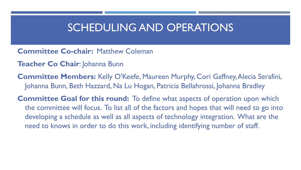### SCHEDULING AND OPERATIONS

- **Committee Co-chair: Matthew Coleman**
- **Teacher Co Chair**: Johanna Bunn
- **Committee Members:** Kelly O'Keefe, Maureen Murphy, Cori Gaffney, Alecia Serafini, Johanna Bunn, Beth Hazzard, Na Lu Hogan, Patricia Bellahrossi, Johanna Bradley
- **Committee Goal for this round:** To define what aspects of operation upon which the committee will focus. To list all of the factors and hopes that will need to go into developing a schedule as well as all aspects of technology integration. What are the need to knows in order to do this work, including identifying number of staff.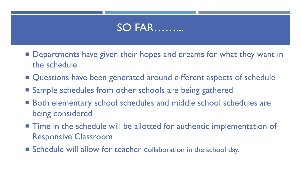## SO FAR………

- **Departments have given their hopes and dreams for what they want in** the schedule
- Questions have been generated around different aspects of schedule
- Sample schedules from other schools are being gathered
- Both elementary school schedules and middle school schedules are being considered
- Time in the schedule will be allotted for authentic implementation of Responsive Classroom
- Schedule will allow for teacher collaboration in the school day.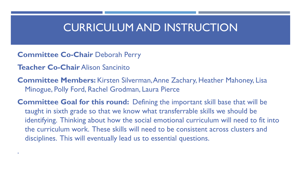### CURRICULUM AND INSTRUCTION

- **Committee Co-Chair** Deborah Perry
- **Teacher Co-Chair** Alison Sancinito

.

**Committee Members:** Kirsten Silverman, Anne Zachary, Heather Mahoney, Lisa Minogue, Polly Ford, Rachel Grodman, Laura Pierce

**Committee Goal for this round:** Defining the important skill base that will be taught in sixth grade so that we know what transferrable skills we should be identifying. Thinking about how the social emotional curriculum will need to fit into the curriculum work. These skills will need to be consistent across clusters and disciplines. This will eventually lead us to essential questions.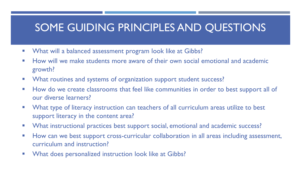## SOME GUIDING PRINCIPLES AND QUESTIONS

- **Number 10 What will a balanced assessment program look like at Gibbs?**
- **How will we make students more aware of their own social emotional and academic** growth?
- **Number 1** What routines and systems of organization support student success?
- How do we create classrooms that feel like communities in order to best support all of our diverse learners?
- **Number 10 Theorge Veron Exerce 20 Theorge 10 Theorge 10 Theorge 10 Theorge 10 Theorge 10 Theorge 10 Theorge 10 Theorge 10 Theorge 10 Theorge 10 Theorge 10 Theorge 10 Theorge 10 Theorge 10 Theorge 10 Theorge 10 Theorge 10** support literacy in the content area?
- **What instructional practices best support social, emotional and academic success?**
- **How can we best support cross-curricular collaboration in all areas including assessment,** curriculum and instruction?
- **Number 10 What does personalized instruction look like at Gibbs?**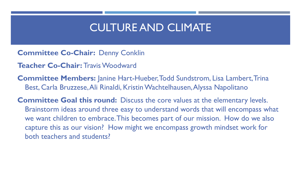## CULTURE AND CLIMATE

**Committee Co-Chair:** Denny Conklin

**Teacher Co-Chair:** Travis Woodward

**Committee Members:** Janine Hart-Hueber, Todd Sundstrom, Lisa Lambert, Trina Best, Carla Bruzzese, Ali Rinaldi, Kristin Wachtelhausen, Alyssa Napolitano

**Committee Goal this round:** Discuss the core values at the elementary levels. Brainstorm ideas around three easy to understand words that will encompass what we want children to embrace. This becomes part of our mission. How do we also capture this as our vision? How might we encompass growth mindset work for both teachers and students?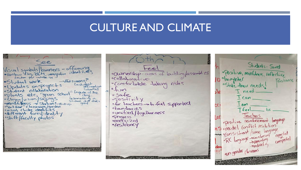### CULTURE AND CLIMATE

See Visual symbols Lanners - affirming<br>· rainbou flog, BLM, immigration identities ·Student work  $\rightarrow$ Flat screens Lastudent<br>officiation · Updates on projects ostudent collaboration I'l Laque at the oplants etc, "green school"<br>"slogan/vision/sayings" Issumething<br>Student did thats<br>be good ominatomess - Stations-Mind up<br>o"art door" classroom/gorden<br>ouisual cluster identifies ·different faces/identity · Staff/faculty photos

· Ownership-areas of building/assemblies · Comfortable taking risks  $n\cup b$ · safe  $\sim$ Positivity ofor teachers - to feel sported obandaries ounified/fogetherness oprogress penergized · resiliency

Students - Sand positive, minfunes, rellective 10 daughter Resilience ostate their needs! T need  $I$  Can  $1$ am n Ci  $bc$ · feel Leel be<br>positive reinforement longuage<br>nSomodel conflict resolution ns model comment<br>moconsistant/same language expected oconsister same<br>RC language scanforcing<br>sedirating<br>sedirating creepeded our-gender classrooms  $\overline{111}$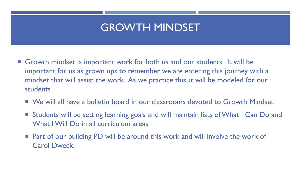## GROWTH MINDSET

- Growth mindset is important work for both us and our students. It will be important for us as grown ups to remember we are entering this journey with a mindset that will assist the work. As we practice this, it will be modeled for our students
	- We will all have a bulletin board in our classrooms devoted to Growth Mindset
	- Students will be setting learning goals and will maintain lists of What I Can Do and What I Will Do in all curriculum areas
	- Part of our building PD will be around this work and will involve the work of Carol Dweck.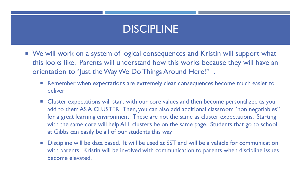## DISCIPLINE

- We will work on a system of logical consequences and Kristin will support what this looks like. Parents will understand how this works because they will have an orientation to "Just the Way We Do Things Around Here!".
	- **Remember when expectations are extremely clear, consequences become much easier to** deliver
	- **E** Cluster expectations will start with our core values and then become personalized as you add to them AS A CLUSTER. Then, you can also add additional classroom "non negotiables" for a great learning environment. These are not the same as cluster expectations. Starting with the same core will help ALL clusters be on the same page. Students that go to school at Gibbs can easily be all of our students this way
	- Discipline will be data based. It will be used at SST and will be a vehicle for communication with parents. Kristin will be involved with communication to parents when discipline issues become elevated.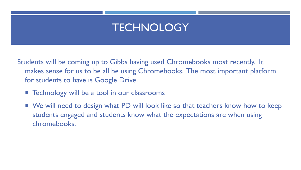## **TECHNOLOGY**

Students will be coming up to Gibbs having used Chromebooks most recently. It makes sense for us to be all be using Chromebooks. The most important platform for students to have is Google Drive.

- **E** Technology will be a tool in our classrooms
- We will need to design what PD will look like so that teachers know how to keep students engaged and students know what the expectations are when using chromebooks.